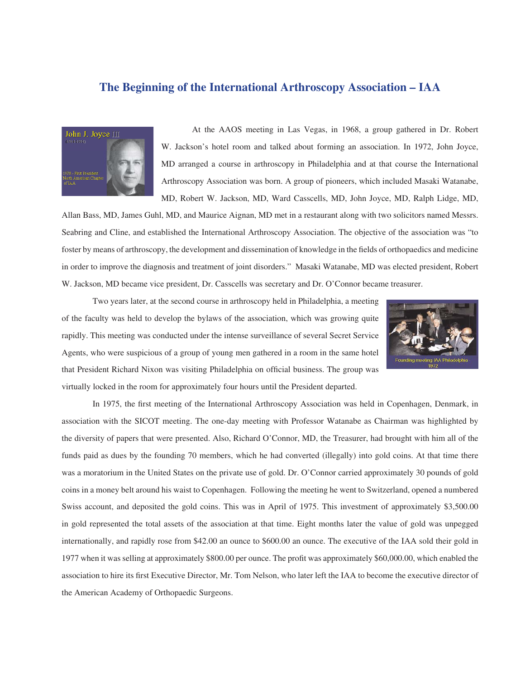## **The Beginning of the International Arthroscopy Association – IAA**



At the AAOS meeting in Las Vegas, in 1968, a group gathered in Dr. Robert W. Jackson's hotel room and talked about forming an association. In 1972, John Joyce, MD arranged a course in arthroscopy in Philadelphia and at that course the International Arthroscopy Association was born. A group of pioneers, which included Masaki Watanabe, MD, Robert W. Jackson, MD, Ward Casscells, MD, John Joyce, MD, Ralph Lidge, MD,

Allan Bass, MD, James Guhl, MD, and Maurice Aignan, MD met in a restaurant along with two solicitors named Messrs. Seabring and Cline, and established the International Arthroscopy Association. The objective of the association was "to foster by means of arthroscopy, the development and dissemination of knowledge in the fields of orthopaedics and medicine in order to improve the diagnosis and treatment of joint disorders." Masaki Watanabe, MD was elected president, Robert W. Jackson, MD became vice president, Dr. Casscells was secretary and Dr. O'Connor became treasurer.



Two years later, at the second course in arthroscopy held in Philadelphia, a meeting of the faculty was held to develop the bylaws of the association, which was growing quite rapidly. This meeting was conducted under the intense surveillance of several Secret Service Agents, who were suspicious of a group of young men gathered in a room in the same hotel that President Richard Nixon was visiting Philadelphia on official business. The group was virtually locked in the room for approximately four hours until the President departed.

In 1975, the first meeting of the International Arthroscopy Association was held in Copenhagen, Denmark, in association with the SICOT meeting. The one-day meeting with Professor Watanabe as Chairman was highlighted by the diversity of papers that were presented. Also, Richard O'Connor, MD, the Treasurer, had brought with him all of the funds paid as dues by the founding 70 members, which he had converted (illegally) into gold coins. At that time there was a moratorium in the United States on the private use of gold. Dr. O'Connor carried approximately 30 pounds of gold coins in a money belt around his waist to Copenhagen. Following the meeting he went to Switzerland, opened a numbered Swiss account, and deposited the gold coins. This was in April of 1975. This investment of approximately \$3,500.00 in gold represented the total assets of the association at that time. Eight months later the value of gold was unpegged internationally, and rapidly rose from \$42.00 an ounce to \$600.00 an ounce. The executive of the IAA sold their gold in 1977 when it was selling at approximately \$800.00 per ounce. The profi t was approximately \$60,000.00, which enabled the association to hire its first Executive Director, Mr. Tom Nelson, who later left the IAA to become the executive director of the American Academy of Orthopaedic Surgeons.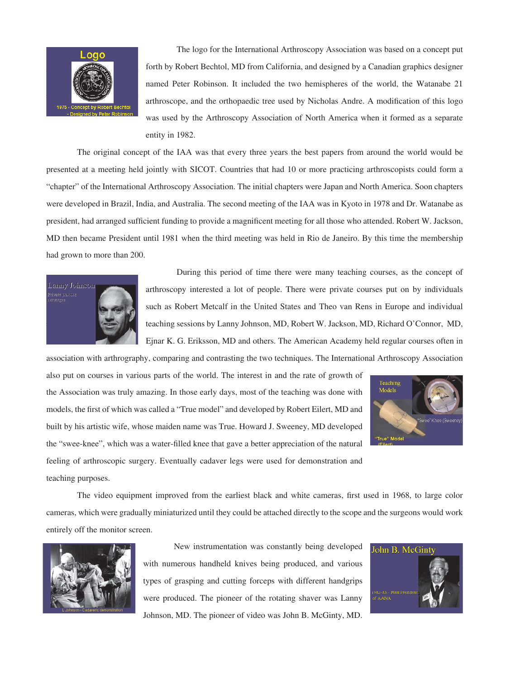

The logo for the International Arthroscopy Association was based on a concept put forth by Robert Bechtol, MD from California, and designed by a Canadian graphics designer named Peter Robinson. It included the two hemispheres of the world, the Watanabe 21 arthroscope, and the orthopaedic tree used by Nicholas Andre. A modification of this logo was used by the Arthroscopy Association of North America when it formed as a separate entity in 1982.

The original concept of the IAA was that every three years the best papers from around the world would be presented at a meeting held jointly with SICOT. Countries that had 10 or more practicing arthroscopists could form a "chapter" of the International Arthroscopy Association. The initial chapters were Japan and North America. Soon chapters were developed in Brazil, India, and Australia. The second meeting of the IAA was in Kyoto in 1978 and Dr. Watanabe as president, had arranged sufficient funding to provide a magnificent meeting for all those who attended. Robert W. Jackson, MD then became President until 1981 when the third meeting was held in Rio de Janeiro. By this time the membership had grown to more than 200.



During this period of time there were many teaching courses, as the concept of arthroscopy interested a lot of people. There were private courses put on by individuals such as Robert Metcalf in the United States and Theo van Rens in Europe and individual teaching sessions by Lanny Johnson, MD, Robert W. Jackson, MD, Richard O'Connor, MD, Ejnar K. G. Eriksson, MD and others. The American Academy held regular courses often in

association with arthrography, comparing and contrasting the two techniques. The International Arthroscopy Association

also put on courses in various parts of the world. The interest in and the rate of growth of the Association was truly amazing. In those early days, most of the teaching was done with models, the first of which was called a "True model" and developed by Robert Eilert, MD and built by his artistic wife, whose maiden name was True. Howard J. Sweeney, MD developed the "swee-knee", which was a water-filled knee that gave a better appreciation of the natural feeling of arthroscopic surgery. Eventually cadaver legs were used for demonstration and



The video equipment improved from the earliest black and white cameras, first used in 1968, to large color cameras, which were gradually miniaturized until they could be attached directly to the scope and the surgeons would work entirely off the monitor screen.



teaching purposes.

New instrumentation was constantly being developed with numerous handheld knives being produced, and various types of grasping and cutting forceps with different handgrips were produced. The pioneer of the rotating shaver was Lanny Johnson, MD. The pioneer of video was John B. McGinty, MD.